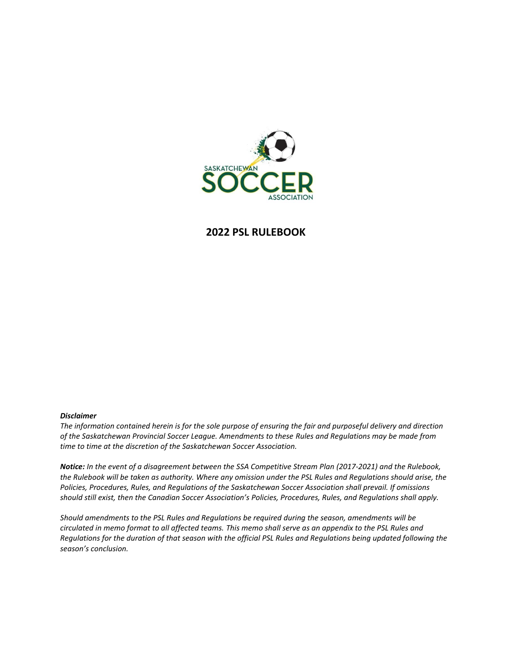

#### **2022 PSL RULEBOOK**

#### *Disclaimer*

*The information contained herein is for the sole purpose of ensuring the fair and purposeful delivery and direction of the Saskatchewan Provincial Soccer League. Amendments to these Rules and Regulations may be made from time to time at the discretion of the Saskatchewan Soccer Association.*

*Notice: In the event of a disagreement between the SSA Competitive Stream Plan (2017-2021) and the Rulebook, the Rulebook will be taken as authority. Where any omission under the PSL Rules and Regulations should arise, the Policies, Procedures, Rules, and Regulations of the Saskatchewan Soccer Association shall prevail. If omissions should still exist, then the Canadian Soccer Association's Policies, Procedures, Rules, and Regulations shall apply.*

*Should amendments to the PSL Rules and Regulations be required during the season, amendments will be circulated in memo format to all affected teams. This memo shall serve as an appendix to the PSL Rules and Regulations for the duration of that season with the official PSL Rules and Regulations being updated following the season's conclusion.*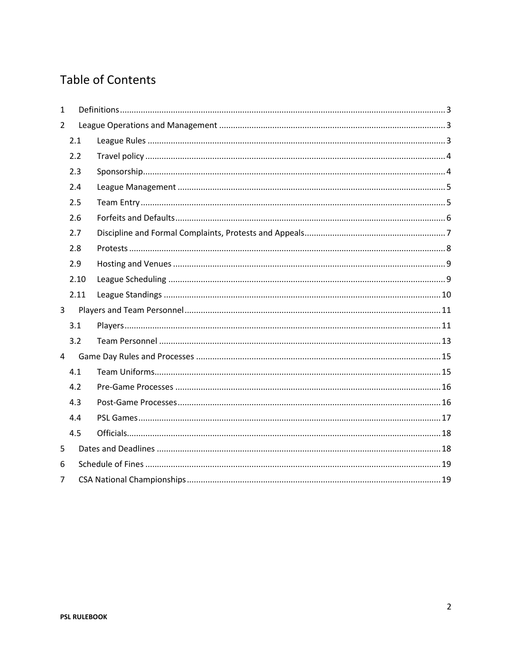# **Table of Contents**

| $\mathbf{1}$   |      |  |  |  |
|----------------|------|--|--|--|
| $\overline{2}$ |      |  |  |  |
|                | 2.1  |  |  |  |
|                | 2.2  |  |  |  |
|                | 2.3  |  |  |  |
|                | 2.4  |  |  |  |
|                | 2.5  |  |  |  |
|                | 2.6  |  |  |  |
|                | 2.7  |  |  |  |
|                | 2.8  |  |  |  |
|                | 2.9  |  |  |  |
|                | 2.10 |  |  |  |
|                | 2.11 |  |  |  |
| 3              |      |  |  |  |
|                | 3.1  |  |  |  |
|                | 3.2  |  |  |  |
| 4              |      |  |  |  |
|                | 4.1  |  |  |  |
|                | 4.2  |  |  |  |
|                | 4.3  |  |  |  |
|                | 4.4  |  |  |  |
|                | 4.5  |  |  |  |
| 5              |      |  |  |  |
| 6              |      |  |  |  |
| $\overline{7}$ |      |  |  |  |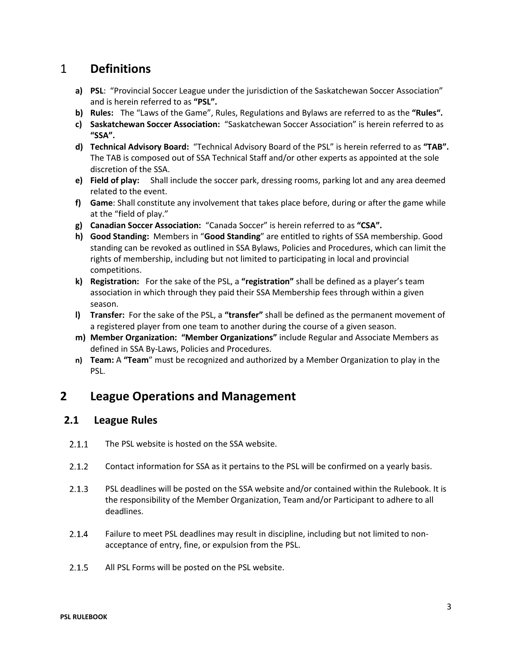## <span id="page-2-0"></span>1 **Definitions**

- **a) PSL**: "Provincial Soccer League under the jurisdiction of the Saskatchewan Soccer Association" and is herein referred to as **"PSL".**
- **b) Rules:** The "Laws of the Game", Rules, Regulations and Bylaws are referred to as the **"Rules".**
- **c) Saskatchewan Soccer Association:** "Saskatchewan Soccer Association" is herein referred to as **"SSA".**
- **d) Technical Advisory Board:** "Technical Advisory Board of the PSL" is herein referred to as **"TAB".** The TAB is composed out of SSA Technical Staff and/or other experts as appointed at the sole discretion of the SSA.
- **e) Field of play:** Shall include the soccer park, dressing rooms, parking lot and any area deemed related to the event.
- **f) Game**: Shall constitute any involvement that takes place before, during or after the game while at the "field of play."
- **g) Canadian Soccer Association:** "Canada Soccer" is herein referred to as **"CSA".**
- **h) Good Standing:** Members in "**Good Standing**" are entitled to rights of SSA membership. Good standing can be revoked as outlined in SSA Bylaws, Policies and Procedures, which can limit the rights of membership, including but not limited to participating in local and provincial competitions.
- **k) Registration:** For the sake of the PSL, a **"registration"** shall be defined as a player's team association in which through they paid their SSA Membership fees through within a given season.
- **l) Transfer:** For the sake of the PSL, a **"transfer"** shall be defined as the permanent movement of a registered player from one team to another during the course of a given season.
- **m) Member Organization: "Member Organizations"** include Regular and Associate Members as defined in SSA By-Laws, Policies and Procedures.
- **n) Team:** A **"Team**" must be recognized and authorized by a Member Organization to play in the PSL.

## <span id="page-2-1"></span>**2 League Operations and Management**

### <span id="page-2-2"></span>**2.1 League Rules**

- $2.1.1$ The PSL website is hosted on the SSA website.
- $2.1.2$ Contact information for SSA as it pertains to the PSL will be confirmed on a yearly basis.
- $2.1.3$ PSL deadlines will be posted on the SSA website and/or contained within the Rulebook. It is the responsibility of the Member Organization, Team and/or Participant to adhere to all deadlines.
- $2.1.4$ Failure to meet PSL deadlines may result in discipline, including but not limited to nonacceptance of entry, fine, or expulsion from the PSL.
- $2.1.5$ All PSL Forms will be posted on the PSL website.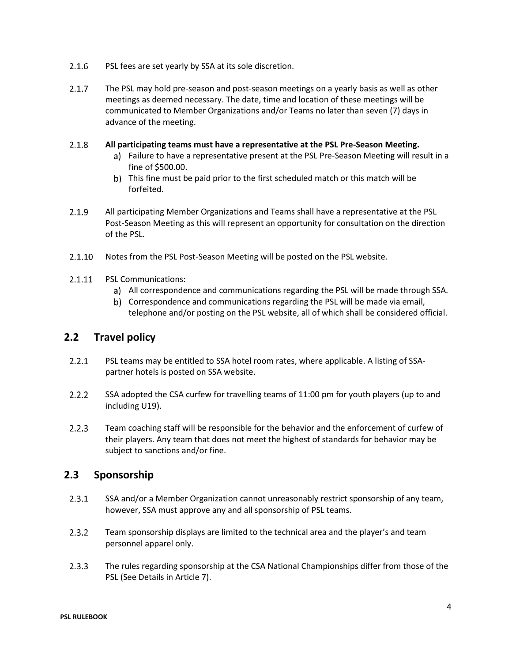- $2.1.6$ PSL fees are set yearly by SSA at its sole discretion.
- $2.1.7$ The PSL may hold pre-season and post-season meetings on a yearly basis as well as other meetings as deemed necessary. The date, time and location of these meetings will be communicated to Member Organizations and/or Teams no later than seven (7) days in advance of the meeting.

#### $2.1.8$ **All participating teams must have a representative at the PSL Pre-Season Meeting.**

- Failure to have a representative present at the PSL Pre-Season Meeting will result in a fine of \$500.00.
- b) This fine must be paid prior to the first scheduled match or this match will be forfeited.
- $2.1.9$ All participating Member Organizations and Teams shall have a representative at the PSL Post-Season Meeting as this will represent an opportunity for consultation on the direction of the PSL.
- $2.1.10$ Notes from the PSL Post-Season Meeting will be posted on the PSL website.
- $2.1.11$ PSL Communications:
	- All correspondence and communications regarding the PSL will be made through SSA.
	- b) Correspondence and communications regarding the PSL will be made via email, telephone and/or posting on the PSL website, all of which shall be considered official.

### <span id="page-3-0"></span>**2.2 Travel policy**

- $2.2.1$ PSL teams may be entitled to SSA hotel room rates, where applicable. A listing of SSApartner hotels is posted on SSA website.
- $2.2.2$ SSA adopted the CSA curfew for travelling teams of 11:00 pm for youth players (up to and including U19).
- $2.2.3$ Team coaching staff will be responsible for the behavior and the enforcement of curfew of their players. Any team that does not meet the highest of standards for behavior may be subject to sanctions and/or fine.

### <span id="page-3-1"></span>**2.3 Sponsorship**

- $2.3.1$ SSA and/or a Member Organization cannot unreasonably restrict sponsorship of any team, however, SSA must approve any and all sponsorship of PSL teams.
- $2.3.2$ Team sponsorship displays are limited to the technical area and the player's and team personnel apparel only.
- $2.3.3$ The rules regarding sponsorship at the CSA National Championships differ from those of the PSL (See Details in Article 7).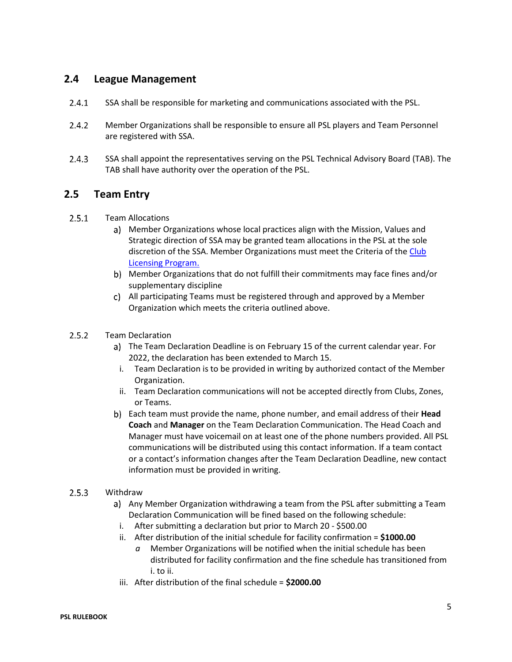### <span id="page-4-0"></span>**2.4 League Management**

- $2.4.1$ SSA shall be responsible for marketing and communications associated with the PSL.
- $2.4.2$ Member Organizations shall be responsible to ensure all PSL players and Team Personnel are registered with SSA.
- $2.4.3$ SSA shall appoint the representatives serving on the PSL Technical Advisory Board (TAB). The TAB shall have authority over the operation of the PSL.

### <span id="page-4-1"></span>**2.5 Team Entry**

- $2.5.1$ Team Allocations
	- Member Organizations whose local practices align with the Mission, Values and Strategic direction of SSA may be granted team allocations in the PSL at the sole discretion of the SSA. Member Organizations must meet the Criteria of th[e Club](http://www.sasksoccer.com/content/club-licensing-program)  [Licensing Program.](http://www.sasksoccer.com/content/club-licensing-program)
	- Member Organizations that do not fulfill their commitments may face fines and/or supplementary discipline
	- All participating Teams must be registered through and approved by a Member Organization which meets the criteria outlined above.

#### $2.5.2$ Team Declaration

- The Team Declaration Deadline is on February 15 of the current calendar year. For 2022, the declaration has been extended to March 15.
	- i. Team Declaration is to be provided in writing by authorized contact of the Member Organization.
	- ii. Team Declaration communications will not be accepted directly from Clubs, Zones, or Teams.
- Each team must provide the name, phone number, and email address of their **Head Coach** and **Manager** on the Team Declaration Communication. The Head Coach and Manager must have voicemail on at least one of the phone numbers provided. All PSL communications will be distributed using this contact information. If a team contact or a contact's information changes after the Team Declaration Deadline, new contact information must be provided in writing.

#### $2.5.3$ Withdraw

- a) Any Member Organization withdrawing a team from the PSL after submitting a Team Declaration Communication will be fined based on the following schedule:
- i. After submitting a declaration but prior to March 20 \$500.00
- ii. After distribution of the initial schedule for facility confirmation = **\$1000.00**
	- *a* Member Organizations will be notified when the initial schedule has been distributed for facility confirmation and the fine schedule has transitioned from i. to ii.
- iii. After distribution of the final schedule = **\$2000.00**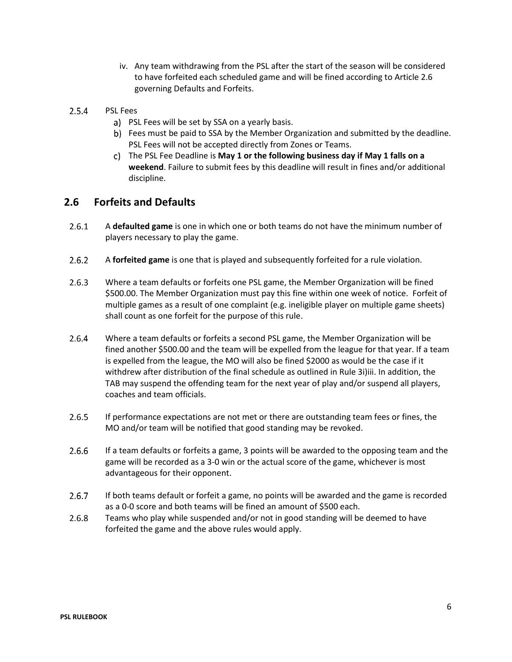- iv. Any team withdrawing from the PSL after the start of the season will be considered to have forfeited each scheduled game and will be fined according to Article 2.6 governing Defaults and Forfeits.
- $2.5.4$ PSL Fees
	- a) PSL Fees will be set by SSA on a yearly basis.
	- Fees must be paid to SSA by the Member Organization and submitted by the deadline. PSL Fees will not be accepted directly from Zones or Teams.
	- The PSL Fee Deadline is **May 1 or the following business day if May 1 falls on a weekend**. Failure to submit fees by this deadline will result in fines and/or additional discipline.

### <span id="page-5-0"></span>**2.6 Forfeits and Defaults**

- $2.6.1$ A **defaulted game** is one in which one or both teams do not have the minimum number of players necessary to play the game.
- $2.6.2$ A **forfeited game** is one that is played and subsequently forfeited for a rule violation.
- $2.6.3$ Where a team defaults or forfeits one PSL game, the Member Organization will be fined \$500.00. The Member Organization must pay this fine within one week of notice. Forfeit of multiple games as a result of one complaint (e.g. ineligible player on multiple game sheets) shall count as one forfeit for the purpose of this rule.
- $2.6.4$ Where a team defaults or forfeits a second PSL game, the Member Organization will be fined another \$500.00 and the team will be expelled from the league for that year. If a team is expelled from the league, the MO will also be fined \$2000 as would be the case if it withdrew after distribution of the final schedule as outlined in Rule 3i)iii. In addition, the TAB may suspend the offending team for the next year of play and/or suspend all players, coaches and team officials.
- $2.6.5$ If performance expectations are not met or there are outstanding team fees or fines, the MO and/or team will be notified that good standing may be revoked.
- $2.6.6$ If a team defaults or forfeits a game, 3 points will be awarded to the opposing team and the game will be recorded as a 3-0 win or the actual score of the game, whichever is most advantageous for their opponent.
- $2.6.7$ If both teams default or forfeit a game, no points will be awarded and the game is recorded as a 0-0 score and both teams will be fined an amount of \$500 each.
- 2.6.8 Teams who play while suspended and/or not in good standing will be deemed to have forfeited the game and the above rules would apply.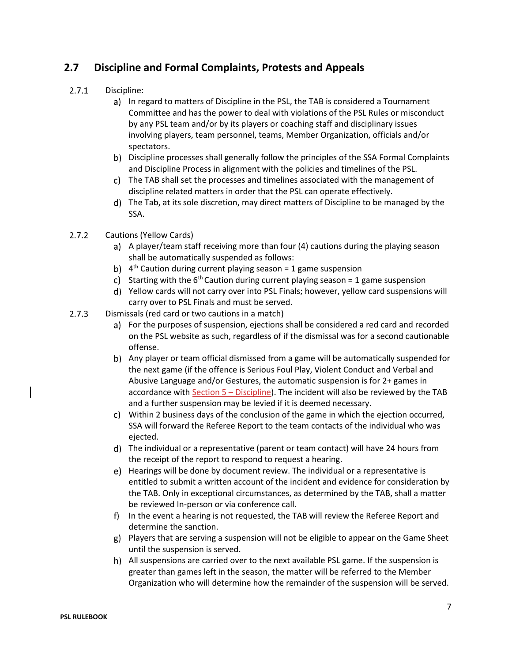## <span id="page-6-0"></span>**2.7 Discipline and Formal Complaints, Protests and Appeals**

#### $2.7.1$ Discipline:

- a) In regard to matters of Discipline in the PSL, the TAB is considered a Tournament Committee and has the power to deal with violations of the PSL Rules or misconduct by any PSL team and/or by its players or coaching staff and disciplinary issues involving players, team personnel, teams, Member Organization, officials and/or spectators.
- b) Discipline processes shall generally follow the principles of the SSA Formal Complaints and Discipline Process in alignment with the policies and timelines of the PSL.
- The TAB shall set the processes and timelines associated with the management of discipline related matters in order that the PSL can operate effectively.
- The Tab, at its sole discretion, may direct matters of Discipline to be managed by the SSA.
- $2.7.2$ Cautions (Yellow Cards)
	- a) A player/team staff receiving more than four (4) cautions during the playing season shall be automatically suspended as follows:
	- 4<sup>th</sup> Caution during current playing season = 1 game suspension
	- c) Starting with the  $6<sup>th</sup>$  Caution during current playing season = 1 game suspension
	- Yellow cards will not carry over into PSL Finals; however, yellow card suspensions will carry over to PSL Finals and must be served.
- $2.7.3$ Dismissals (red card or two cautions in a match)
	- For the purposes of suspension, ejections shall be considered a red card and recorded on the PSL website as such, regardless of if the dismissal was for a second cautionable offense.
	- Any player or team official dismissed from a game will be automatically suspended for the next game (if the offence is Serious Foul Play, Violent Conduct and Verbal and Abusive Language and/or Gestures, the automatic suspension is for 2+ games in accordance with [Section 5](http://www.sasksoccer.com/content/bylaws-and-policies) – Discipline). The incident will also be reviewed by the TAB and a further suspension may be levied if it is deemed necessary.
	- Within 2 business days of the conclusion of the game in which the ejection occurred, SSA will forward the Referee Report to the team contacts of the individual who was ejected.
	- The individual or a representative (parent or team contact) will have 24 hours from the receipt of the report to respond to request a hearing.
	- Hearings will be done by document review. The individual or a representative is entitled to submit a written account of the incident and evidence for consideration by the TAB. Only in exceptional circumstances, as determined by the TAB, shall a matter be reviewed In-person or via conference call.
	- f) In the event a hearing is not requested, the TAB will review the Referee Report and determine the sanction.
	- Players that are serving a suspension will not be eligible to appear on the Game Sheet until the suspension is served.
	- All suspensions are carried over to the next available PSL game. If the suspension is greater than games left in the season, the matter will be referred to the Member Organization who will determine how the remainder of the suspension will be served.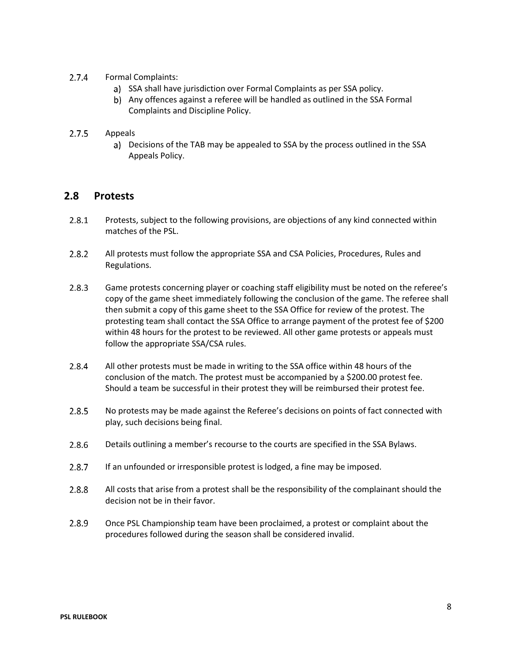- $2.7.4$ Formal Complaints:
	- a) SSA shall have jurisdiction over Formal Complaints as per SSA policy.
	- Any offences against a referee will be handled as outlined in the SSA Formal Complaints and Discipline Policy.

#### $2.7.5$ Appeals

Decisions of the TAB may be appealed to SSA by the process outlined in the SSA Appeals Policy.

#### <span id="page-7-0"></span>**2.8 Protests**

- $2.8.1$ Protests, subject to the following provisions, are objections of any kind connected within matches of the PSL.
- $2.8.2$ All protests must follow the appropriate SSA and CSA Policies, Procedures, Rules and Regulations.
- $2.8.3$ Game protests concerning player or coaching staff eligibility must be noted on the referee's copy of the game sheet immediately following the conclusion of the game. The referee shall then submit a copy of this game sheet to the SSA Office for review of the protest. The protesting team shall contact the SSA Office to arrange payment of the protest fee of \$200 within 48 hours for the protest to be reviewed. All other game protests or appeals must follow the appropriate SSA/CSA rules.
- $2.8.4$ All other protests must be made in writing to the SSA office within 48 hours of the conclusion of the match. The protest must be accompanied by a \$200.00 protest fee. Should a team be successful in their protest they will be reimbursed their protest fee.
- No protests may be made against the Referee's decisions on points of fact connected with  $2.8.5$ play, such decisions being final.
- $2.8.6$ Details outlining a member's recourse to the courts are specified in the SSA Bylaws.
- $2.8.7$ If an unfounded or irresponsible protest is lodged, a fine may be imposed.
- 2.8.8 All costs that arise from a protest shall be the responsibility of the complainant should the decision not be in their favor.
- $2.8.9$ Once PSL Championship team have been proclaimed, a protest or complaint about the procedures followed during the season shall be considered invalid.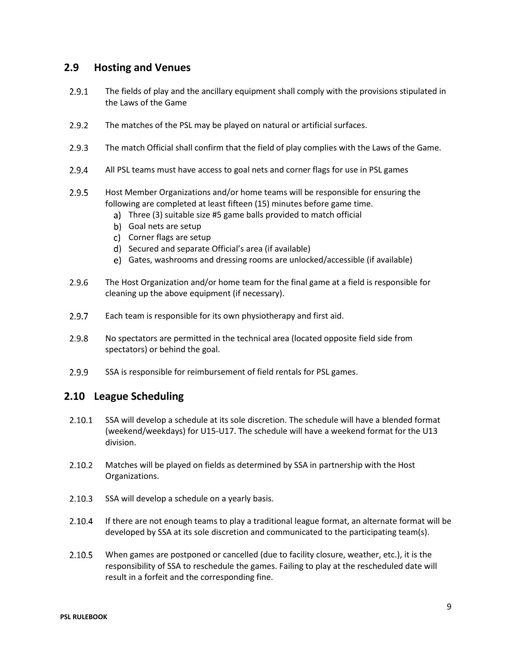#### <span id="page-8-0"></span>**2.9 Hosting and Venues**

- $2.9.1$ The fields of play and the ancillary equipment shall comply with the provisions stipulated in the Laws of the Game
- $2.9.2$ The matches of the PSL may be played on natural or artificial surfaces.
- $2.9.3$ The match Official shall confirm that the field of play complies with the Laws of the Game.
- $2.9.4$ All PSL teams must have access to goal nets and corner flags for use in PSL games
- $2.9.5$ Host Member Organizations and/or home teams will be responsible for ensuring the following are completed at least fifteen (15) minutes before game time.
	- Three (3) suitable size #5 game balls provided to match official
	- b) Goal nets are setup
	- c) Corner flags are setup
	- d) Secured and separate Official's area (if available)
	- Gates, washrooms and dressing rooms are unlocked/accessible (if available)
- 2.9.6 The Host Organization and/or home team for the final game at a field is responsible for cleaning up the above equipment (if necessary).
- $2.9.7$ Each team is responsible for its own physiotherapy and first aid.
- $2.9.8$ No spectators are permitted in the technical area (located opposite field side from spectators) or behind the goal.
- $2.9.9$ SSA is responsible for reimbursement of field rentals for PSL games.

#### <span id="page-8-1"></span>**2.10 League Scheduling**

- $2.10.1$ SSA will develop a schedule at its sole discretion. The schedule will have a blended format (weekend/weekdays) for U15-U17. The schedule will have a weekend format for the U13 division.
- $2.10.2$ Matches will be played on fields as determined by SSA in partnership with the Host Organizations.
- $2.10.3$ SSA will develop a schedule on a yearly basis.
- $2.10.4$ If there are not enough teams to play a traditional league format, an alternate format will be developed by SSA at its sole discretion and communicated to the participating team(s).
- $2.10.5$ When games are postponed or cancelled (due to facility closure, weather, etc.), it is the responsibility of SSA to reschedule the games. Failing to play at the rescheduled date will result in a forfeit and the corresponding fine.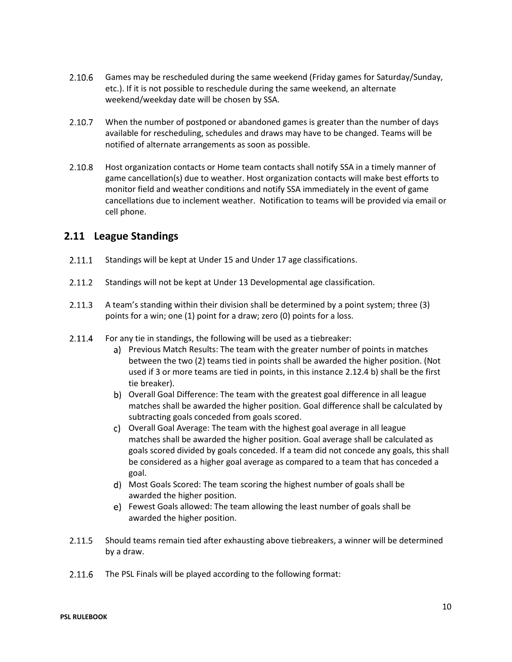- 2.10.6 Games may be rescheduled during the same weekend (Friday games for Saturday/Sunday, etc.). If it is not possible to reschedule during the same weekend, an alternate weekend/weekday date will be chosen by SSA.
- 2.10.7 When the number of postponed or abandoned games is greater than the number of days available for rescheduling, schedules and draws may have to be changed. Teams will be notified of alternate arrangements as soon as possible.
- 2.10.8 Host organization contacts or Home team contacts shall notify SSA in a timely manner of game cancellation(s) due to weather. Host organization contacts will make best efforts to monitor field and weather conditions and notify SSA immediately in the event of game cancellations due to inclement weather. Notification to teams will be provided via email or cell phone.

### <span id="page-9-0"></span>**2.11 League Standings**

- $2.11.1$ Standings will be kept at Under 15 and Under 17 age classifications.
- $2.11.2$ Standings will not be kept at Under 13 Developmental age classification.
- $2.11.3$ A team's standing within their division shall be determined by a point system; three (3) points for a win; one (1) point for a draw; zero (0) points for a loss.
- $2.11.4$ For any tie in standings, the following will be used as a tiebreaker:
	- a) Previous Match Results: The team with the greater number of points in matches between the two (2) teams tied in points shall be awarded the higher position. (Not used if 3 or more teams are tied in points, in this instance 2.12.4 b) shall be the first tie breaker).
	- b) Overall Goal Difference: The team with the greatest goal difference in all league matches shall be awarded the higher position. Goal difference shall be calculated by subtracting goals conceded from goals scored.
	- Overall Goal Average: The team with the highest goal average in all league matches shall be awarded the higher position. Goal average shall be calculated as goals scored divided by goals conceded. If a team did not concede any goals, this shall be considered as a higher goal average as compared to a team that has conceded a goal.
	- Most Goals Scored: The team scoring the highest number of goals shall be awarded the higher position.
	- Fewest Goals allowed: The team allowing the least number of goals shall be awarded the higher position.
- 2.11.5 Should teams remain tied after exhausting above tiebreakers, a winner will be determined by a draw.
- 2.11.6 The PSL Finals will be played according to the following format: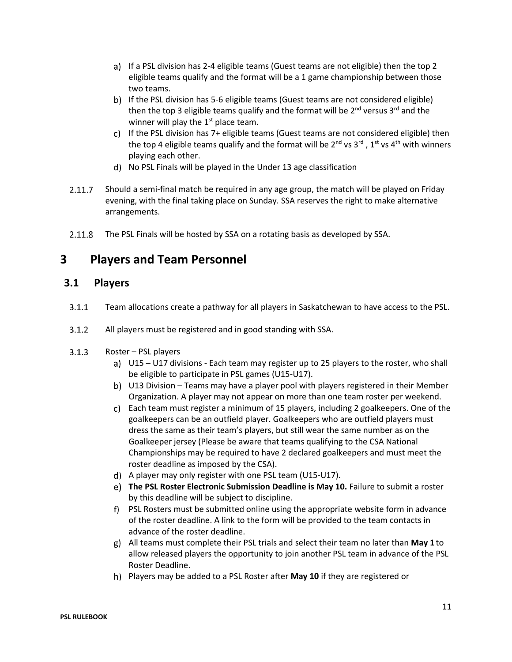- a) If a PSL division has 2-4 eligible teams (Guest teams are not eligible) then the top 2 eligible teams qualify and the format will be a 1 game championship between those two teams.
- b) If the PSL division has 5-6 eligible teams (Guest teams are not considered eligible) then the top 3 eligible teams qualify and the format will be  $2^{nd}$  versus  $3^{rd}$  and the winner will play the  $1<sup>st</sup>$  place team.
- c) If the PSL division has 7+ eligible teams (Guest teams are not considered eligible) then the top 4 eligible teams qualify and the format will be 2<sup>nd</sup> vs 3<sup>rd</sup> , 1<sup>st</sup> vs 4<sup>th</sup> with winners playing each other.
- No PSL Finals will be played in the Under 13 age classification
- $2.11.7$ Should a semi-final match be required in any age group, the match will be played on Friday evening, with the final taking place on Sunday. SSA reserves the right to make alternative arrangements.
- 2.11.8 The PSL Finals will be hosted by SSA on a rotating basis as developed by SSA.

## <span id="page-10-0"></span>**3 Players and Team Personnel**

#### <span id="page-10-1"></span>**3.1 Players**

- Team allocations create a pathway for all players in Saskatchewan to have access to the PSL.  $3.1.1$
- $3.1.2$ All players must be registered and in good standing with SSA.
- $3.1.3$ Roster – PSL players
	- U15 U17 divisions Each team may register up to 25 players to the roster, who shall be eligible to participate in PSL games (U15-U17).
	- U13 Division Teams may have a player pool with players registered in their Member Organization. A player may not appear on more than one team roster per weekend.
	- Each team must register a minimum of 15 players, including 2 goalkeepers. One of the goalkeepers can be an outfield player. Goalkeepers who are outfield players must dress the same as their team's players, but still wear the same number as on the Goalkeeper jersey (Please be aware that teams qualifying to the CSA National Championships may be required to have 2 declared goalkeepers and must meet the roster deadline as imposed by the CSA).
	- A player may only register with one PSL team (U15-U17).
	- **The PSL Roster Electronic Submission Deadline is May 10.** Failure to submit a roster by this deadline will be subject to discipline.
	- PSL Rosters must be submitted online using the appropriate website form in advance of the roster deadline. A link to the form will be provided to the team contacts in advance of the roster deadline.
	- All teams must complete their PSL trials and select their team no later than **May 1** to allow released players the opportunity to join another PSL team in advance of the PSL Roster Deadline.
	- Players may be added to a PSL Roster after **May 10** if they are registered or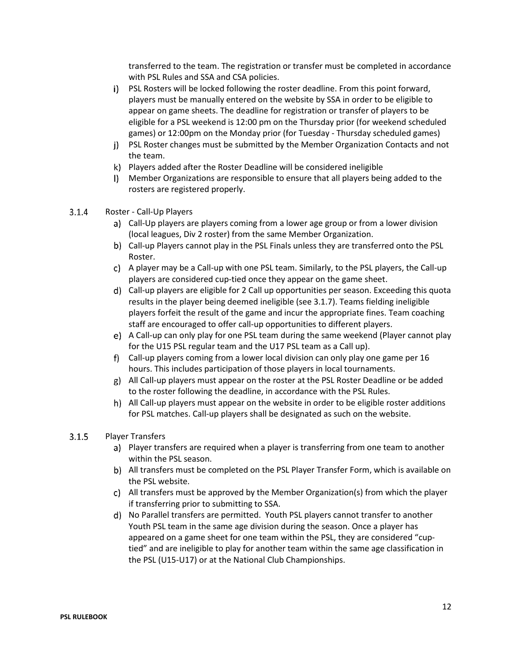transferred to the team. The registration or transfer must be completed in accordance with PSL Rules and SSA and CSA policies.

- PSL Rosters will be locked following the roster deadline. From this point forward, players must be manually entered on the website by SSA in order to be eligible to appear on game sheets. The deadline for registration or transfer of players to be eligible for a PSL weekend is 12:00 pm on the Thursday prior (for weekend scheduled games) or 12:00pm on the Monday prior (for Tuesday - Thursday scheduled games)
- PSL Roster changes must be submitted by the Member Organization Contacts and not the team.
- Players added after the Roster Deadline will be considered ineligible
- Member Organizations are responsible to ensure that all players being added to the rosters are registered properly.
- $3.1.4$ Roster - Call-Up Players
	- Call-Up players are players coming from a lower age group or from a lower division (local leagues, Div 2 roster) from the same Member Organization.
	- b) Call-up Players cannot play in the PSL Finals unless they are transferred onto the PSL Roster.
	- A player may be a Call-up with one PSL team. Similarly, to the PSL players, the Call-up players are considered cup-tied once they appear on the game sheet.
	- Call-up players are eligible for 2 Call up opportunities per season. Exceeding this quota results in the player being deemed ineligible (see 3.1.7). Teams fielding ineligible players forfeit the result of the game and incur the appropriate fines. Team coaching staff are encouraged to offer call-up opportunities to different players.
	- A Call-up can only play for one PSL team during the same weekend (Player cannot play for the U15 PSL regular team and the U17 PSL team as a Call up).
	- Call-up players coming from a lower local division can only play one game per 16 hours. This includes participation of those players in local tournaments.
	- All Call-up players must appear on the roster at the PSL Roster Deadline or be added to the roster following the deadline, in accordance with the PSL Rules.
	- All Call-up players must appear on the website in order to be eligible roster additions for PSL matches. Call-up players shall be designated as such on the website.

#### $3.1.5$ Player Transfers

- Player transfers are required when a player is transferring from one team to another within the PSL season.
- All transfers must be completed on the PSL Player Transfer Form, which is available on the PSL website.
- All transfers must be approved by the Member Organization(s) from which the player if transferring prior to submitting to SSA.
- No Parallel transfers are permitted. Youth PSL players cannot transfer to another Youth PSL team in the same age division during the season. Once a player has appeared on a game sheet for one team within the PSL, they are considered "cuptied" and are ineligible to play for another team within the same age classification in the PSL (U15-U17) or at the National Club Championships.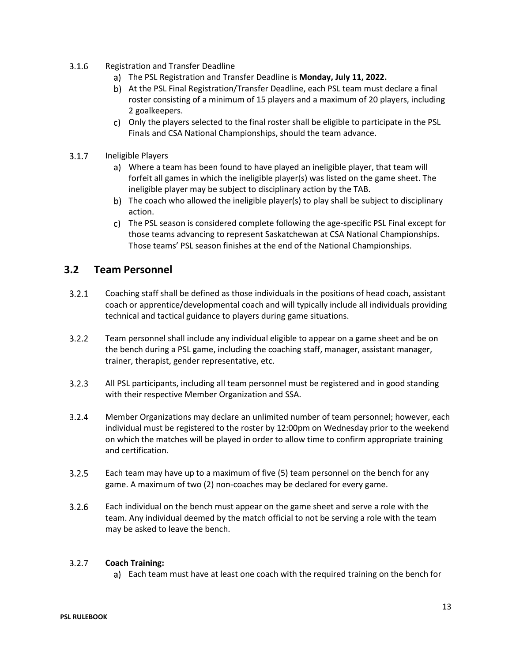- $3.1.6$ Registration and Transfer Deadline
	- The PSL Registration and Transfer Deadline is **Monday, July 11, 2022.**
	- At the PSL Final Registration/Transfer Deadline, each PSL team must declare a final roster consisting of a minimum of 15 players and a maximum of 20 players, including 2 goalkeepers.
	- Only the players selected to the final roster shall be eligible to participate in the PSL Finals and CSA National Championships, should the team advance.
- $3.1.7$ Ineligible Players
	- Where a team has been found to have played an ineligible player, that team will forfeit all games in which the ineligible player(s) was listed on the game sheet. The ineligible player may be subject to disciplinary action by the TAB.
	- b) The coach who allowed the ineligible player(s) to play shall be subject to disciplinary action.
	- The PSL season is considered complete following the age-specific PSL Final except for those teams advancing to represent Saskatchewan at CSA National Championships. Those teams' PSL season finishes at the end of the National Championships.

### <span id="page-12-0"></span>**3.2 Team Personnel**

- $3.2.1$ Coaching staff shall be defined as those individuals in the positions of head coach, assistant coach or apprentice/developmental coach and will typically include all individuals providing technical and tactical guidance to players during game situations.
- $3.2.2$ Team personnel shall include any individual eligible to appear on a game sheet and be on the bench during a PSL game, including the coaching staff, manager, assistant manager, trainer, therapist, gender representative, etc.
- $3.2.3$ All PSL participants, including all team personnel must be registered and in good standing with their respective Member Organization and SSA.
- $3.2.4$ Member Organizations may declare an unlimited number of team personnel; however, each individual must be registered to the roster by 12:00pm on Wednesday prior to the weekend on which the matches will be played in order to allow time to confirm appropriate training and certification.
- $3.2.5$ Each team may have up to a maximum of five (5) team personnel on the bench for any game. A maximum of two (2) non-coaches may be declared for every game.
- $3.2.6$ Each individual on the bench must appear on the game sheet and serve a role with the team. Any individual deemed by the match official to not be serving a role with the team may be asked to leave the bench.

#### $3.2.7$ **Coach Training:**

a) Each team must have at least one coach with the required training on the bench for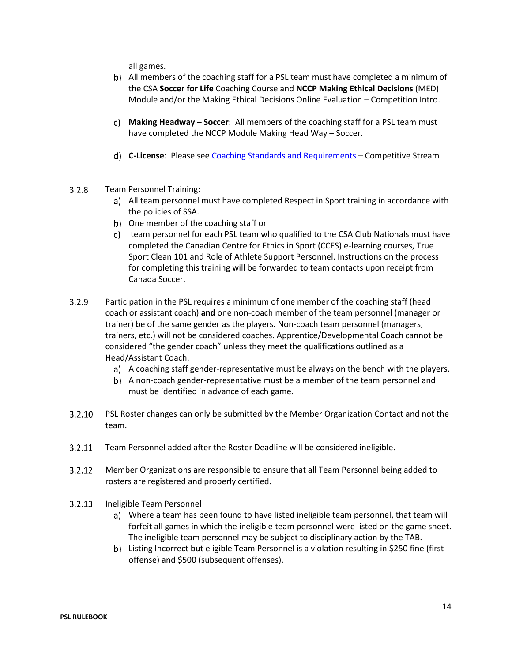all games.

- All members of the coaching staff for a PSL team must have completed a minimum of the CSA **Soccer for Life** Coaching Course and **NCCP Making Ethical Decisions** (MED) Module and/or the Making Ethical Decisions Online Evaluation – Competition Intro.
- **Making Headway – Soccer**: All members of the coaching staff for a PSL team must have completed the NCCP Module Making Head Way – Soccer.
- **C-License**: Please see [Coaching Standards and Requirements](http://www.sasksoccer.com/content/coaching-standards-amp-requirements) Competitive Stream
- $3.2.8$ Team Personnel Training:
	- All team personnel must have completed Respect in Sport training in accordance with the policies of SSA.
	- b) One member of the coaching staff or
	- c) team personnel for each PSL team who qualified to the CSA Club Nationals must have completed the Canadian Centre for Ethics in Sport (CCES) e-learning courses, True Sport Clean 101 and Role of Athlete Support Personnel. Instructions on the process for completing this training will be forwarded to team contacts upon receipt from Canada Soccer.
- $3.2.9$ Participation in the PSL requires a minimum of one member of the coaching staff (head coach or assistant coach) **and** one non-coach member of the team personnel (manager or trainer) be of the same gender as the players. Non-coach team personnel (managers, trainers, etc.) will not be considered coaches. Apprentice/Developmental Coach cannot be considered "the gender coach" unless they meet the qualifications outlined as a Head/Assistant Coach.
	- A coaching staff gender-representative must be always on the bench with the players.
	- A non-coach gender-representative must be a member of the team personnel and must be identified in advance of each game.
- $3.2.10$ PSL Roster changes can only be submitted by the Member Organization Contact and not the team.
- $3.2.11$ Team Personnel added after the Roster Deadline will be considered ineligible.
- $3.2.12$ Member Organizations are responsible to ensure that all Team Personnel being added to rosters are registered and properly certified.
- $3.2.13$ Ineligible Team Personnel
	- Where a team has been found to have listed ineligible team personnel, that team will forfeit all games in which the ineligible team personnel were listed on the game sheet. The ineligible team personnel may be subject to disciplinary action by the TAB.
	- Listing Incorrect but eligible Team Personnel is a violation resulting in \$250 fine (first offense) and \$500 (subsequent offenses).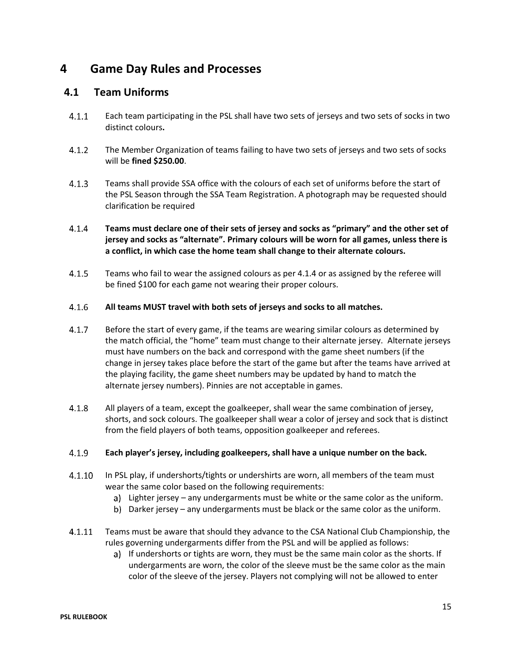## <span id="page-14-0"></span>**4 Game Day Rules and Processes**

#### <span id="page-14-1"></span>**4.1 Team Uniforms**

- $4.1.1$ Each team participating in the PSL shall have two sets of jerseys and two sets of socks in two distinct colours**.**
- $4.1.2$ The Member Organization of teams failing to have two sets of jerseys and two sets of socks will be **fined \$250.00**.
- $4.1.3$ Teams shall provide SSA office with the colours of each set of uniforms before the start of the PSL Season through the SSA Team Registration. A photograph may be requested should clarification be required
- $4.1.4$ **Teams must declare one of their sets of jersey and socks as "primary" and the other set of jersey and socks as "alternate". Primary colours will be worn for all games, unless there is a conflict, in which case the home team shall change to their alternate colours.**
- $4.1.5$ Teams who fail to wear the assigned colours as per 4.1.4 or as assigned by the referee will be fined \$100 for each game not wearing their proper colours.

#### $4.1.6$ **All teams MUST travel with both sets of jerseys and socks to all matches.**

- $4.1.7$ Before the start of every game, if the teams are wearing similar colours as determined by the match official, the "home" team must change to their alternate jersey. Alternate jerseys must have numbers on the back and correspond with the game sheet numbers (if the change in jersey takes place before the start of the game but after the teams have arrived at the playing facility, the game sheet numbers may be updated by hand to match the alternate jersey numbers). Pinnies are not acceptable in games.
- $4.1.8$ All players of a team, except the goalkeeper, shall wear the same combination of jersey, shorts, and sock colours. The goalkeeper shall wear a color of jersey and sock that is distinct from the field players of both teams, opposition goalkeeper and referees.

#### $4.1.9$ **Each player's jersey, including goalkeepers, shall have a unique number on the back.**

- In PSL play, if undershorts/tights or undershirts are worn, all members of the team must  $4.1.10$ wear the same color based on the following requirements:
	- Lighter jersey any undergarments must be white or the same color as the uniform.
	- b) Darker jersey any undergarments must be black or the same color as the uniform.
- $4.1.11$ Teams must be aware that should they advance to the CSA National Club Championship, the rules governing undergarments differ from the PSL and will be applied as follows:
	- a) If undershorts or tights are worn, they must be the same main color as the shorts. If undergarments are worn, the color of the sleeve must be the same color as the main color of the sleeve of the jersey. Players not complying will not be allowed to enter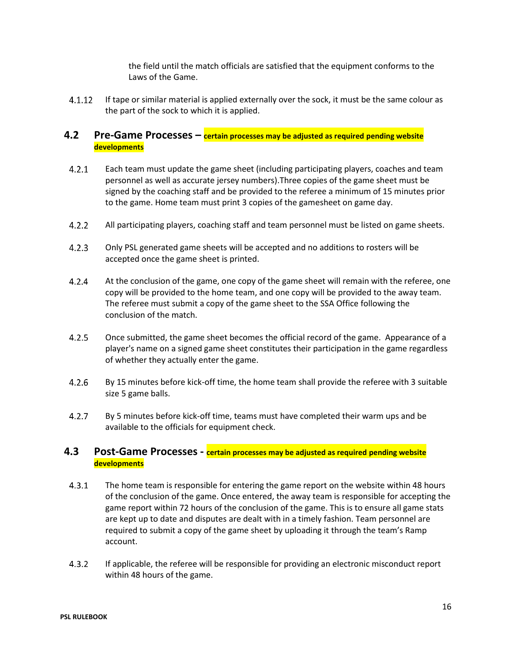the field until the match officials are satisfied that the equipment conforms to the Laws of the Game.

 $4.1.12$ If tape or similar material is applied externally over the sock, it must be the same colour as the part of the sock to which it is applied.

### <span id="page-15-0"></span>**4.2 Pre-Game Processes – certain processes may be adjusted as required pending website developments**

- $4.2.1$ Each team must update the game sheet (including participating players, coaches and team personnel as well as accurate jersey numbers).Three copies of the game sheet must be signed by the coaching staff and be provided to the referee a minimum of 15 minutes prior to the game. Home team must print 3 copies of the gamesheet on game day.
- $4.2.2$ All participating players, coaching staff and team personnel must be listed on game sheets.
- $4.2.3$ Only PSL generated game sheets will be accepted and no additions to rosters will be accepted once the game sheet is printed.
- $4.2.4$ At the conclusion of the game, one copy of the game sheet will remain with the referee, one copy will be provided to the home team, and one copy will be provided to the away team. The referee must submit a copy of the game sheet to the SSA Office following the conclusion of the match.
- $4.2.5$ Once submitted, the game sheet becomes the official record of the game. Appearance of a player's name on a signed game sheet constitutes their participation in the game regardless of whether they actually enter the game.
- $4.2.6$ By 15 minutes before kick-off time, the home team shall provide the referee with 3 suitable size 5 game balls.
- $4.2.7$ By 5 minutes before kick-off time, teams must have completed their warm ups and be available to the officials for equipment check.

#### <span id="page-15-1"></span>**4.3 Post-Game Processes - certain processes may be adjusted as required pending website developments**

- $4.3.1$ The home team is responsible for entering the game report on the website within 48 hours of the conclusion of the game. Once entered, the away team is responsible for accepting the game report within 72 hours of the conclusion of the game. This is to ensure all game stats are kept up to date and disputes are dealt with in a timely fashion. Team personnel are required to submit a copy of the game sheet by uploading it through the team's Ramp account.
- $4.3.2$ If applicable, the referee will be responsible for providing an electronic misconduct report within 48 hours of the game.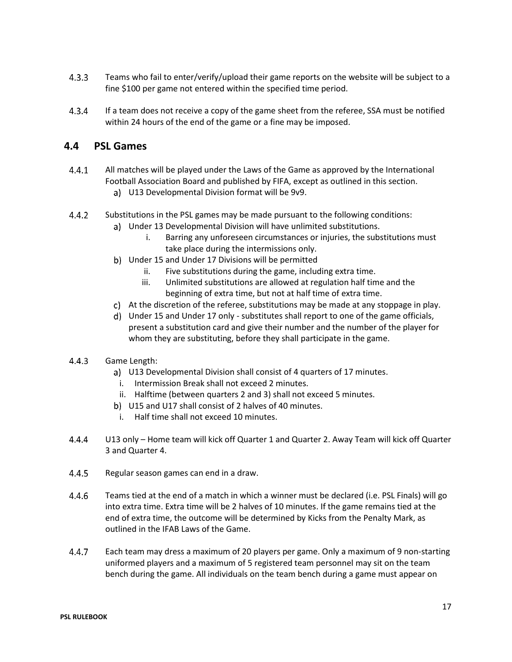- $4.3.3$ Teams who fail to enter/verify/upload their game reports on the website will be subject to a fine \$100 per game not entered within the specified time period.
- $4.3.4$ If a team does not receive a copy of the game sheet from the referee, SSA must be notified within 24 hours of the end of the game or a fine may be imposed.

### <span id="page-16-0"></span>**4.4 PSL Games**

- $4.4.1$ All matches will be played under the Laws of the Game as approved by the International Football Association Board and published by FIFA, except as outlined in this section.
	- U13 Developmental Division format will be 9v9.
- $4.4.2$ Substitutions in the PSL games may be made pursuant to the following conditions:
	- Under 13 Developmental Division will have unlimited substitutions.
		- i. Barring any unforeseen circumstances or injuries, the substitutions must take place during the intermissions only.
	- b) Under 15 and Under 17 Divisions will be permitted
		- ii. Five substitutions during the game, including extra time.
		- iii. Unlimited substitutions are allowed at regulation half time and the beginning of extra time, but not at half time of extra time.
	- At the discretion of the referee, substitutions may be made at any stoppage in play.
	- Under 15 and Under 17 only substitutes shall report to one of the game officials, present a substitution card and give their number and the number of the player for whom they are substituting, before they shall participate in the game.
- $4.4.3$ Game Length:
	- a) U13 Developmental Division shall consist of 4 quarters of 17 minutes.
	- i. Intermission Break shall not exceed 2 minutes.
	- ii. Halftime (between quarters 2 and 3) shall not exceed 5 minutes.
	- b) U15 and U17 shall consist of 2 halves of 40 minutes.
		- i. Half time shall not exceed 10 minutes.
- $4.4.4$ U13 only – Home team will kick off Quarter 1 and Quarter 2. Away Team will kick off Quarter 3 and Quarter 4.
- $4.4.5$ Regular season games can end in a draw.
- 4.4.6 Teams tied at the end of a match in which a winner must be declared (i.e. PSL Finals) will go into extra time. Extra time will be 2 halves of 10 minutes. If the game remains tied at the end of extra time, the outcome will be determined by Kicks from the Penalty Mark, as outlined in the IFAB Laws of the Game.
- $4.4.7$ Each team may dress a maximum of 20 players per game. Only a maximum of 9 non-starting uniformed players and a maximum of 5 registered team personnel may sit on the team bench during the game. All individuals on the team bench during a game must appear on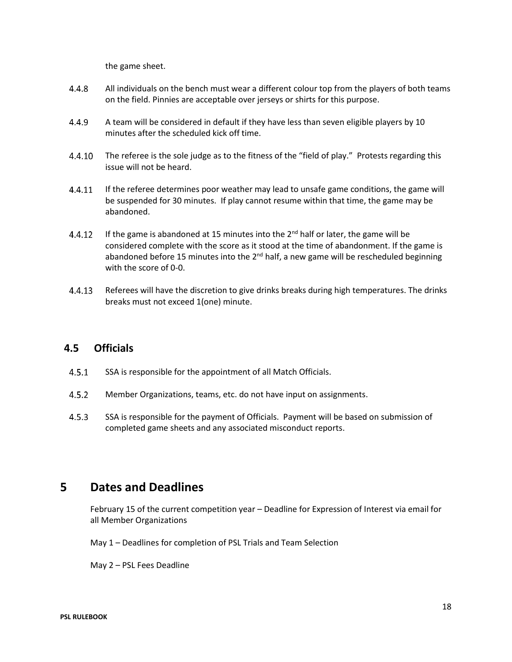the game sheet.

- $4.4.8$ All individuals on the bench must wear a different colour top from the players of both teams on the field. Pinnies are acceptable over jerseys or shirts for this purpose.
- 4.4.9 A team will be considered in default if they have less than seven eligible players by 10 minutes after the scheduled kick off time.
- 4.4.10 The referee is the sole judge as to the fitness of the "field of play." Protests regarding this issue will not be heard.
- 4.4.11 If the referee determines poor weather may lead to unsafe game conditions, the game will be suspended for 30 minutes. If play cannot resume within that time, the game may be abandoned.
- If the game is abandoned at 15 minutes into the  $2^{nd}$  half or later, the game will be 4.4.12 considered complete with the score as it stood at the time of abandonment. If the game is abandoned before 15 minutes into the  $2<sup>nd</sup>$  half, a new game will be rescheduled beginning with the score of 0-0.
- 4.4.13 Referees will have the discretion to give drinks breaks during high temperatures. The drinks breaks must not exceed 1(one) minute.

#### <span id="page-17-0"></span>**4.5 Officials**

- $4.5.1$ SSA is responsible for the appointment of all Match Officials.
- $4.5.2$ Member Organizations, teams, etc. do not have input on assignments.
- $4.5.3$ SSA is responsible for the payment of Officials. Payment will be based on submission of completed game sheets and any associated misconduct reports.

### <span id="page-17-1"></span>**5 Dates and Deadlines**

February 15 of the current competition year – Deadline for Expression of Interest via email for all Member Organizations

May 1 – Deadlines for completion of PSL Trials and Team Selection

May 2 – PSL Fees Deadline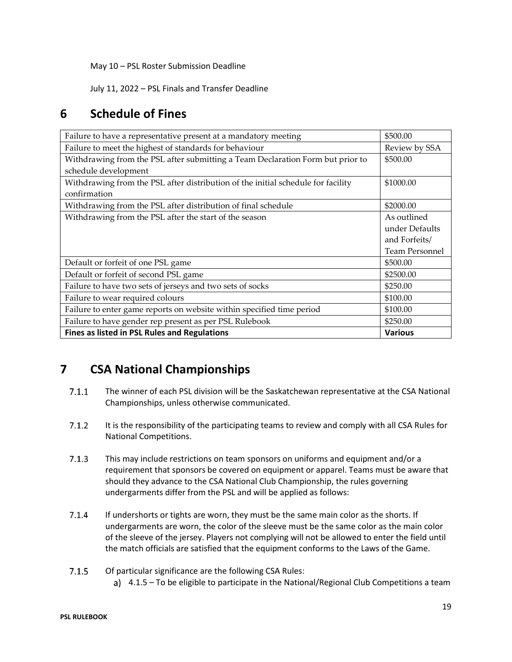May 10 – PSL Roster Submission Deadline

July 11, 2022 – PSL Finals and Transfer Deadline

## <span id="page-18-0"></span>**6 Schedule of Fines**

| Failure to have a representative present at a mandatory meeting                  | \$500.00              |
|----------------------------------------------------------------------------------|-----------------------|
| Failure to meet the highest of standards for behaviour                           | Review by SSA         |
| Withdrawing from the PSL after submitting a Team Declaration Form but prior to   | \$500.00              |
| schedule development                                                             |                       |
| Withdrawing from the PSL after distribution of the initial schedule for facility | \$1000.00             |
| confirmation                                                                     |                       |
| Withdrawing from the PSL after distribution of final schedule                    | \$2000.00             |
| Withdrawing from the PSL after the start of the season                           | As outlined           |
|                                                                                  | under Defaults        |
|                                                                                  | and Forfeits/         |
|                                                                                  | <b>Team Personnel</b> |
| Default or forfeit of one PSL game                                               | \$500.00              |
| Default or forfeit of second PSL game                                            | \$2500.00             |
| Failure to have two sets of jerseys and two sets of socks                        | \$250.00              |
| Failure to wear required colours                                                 | \$100.00              |
| Failure to enter game reports on website within specified time period            | \$100.00              |
| Failure to have gender rep present as per PSL Rulebook                           | \$250.00              |
| Fines as listed in PSL Rules and Regulations                                     | <b>Various</b>        |

## <span id="page-18-1"></span>**7 CSA National Championships**

- $7.1.1$ The winner of each PSL division will be the Saskatchewan representative at the CSA National Championships, unless otherwise communicated.
- $7.1.2$ It is the responsibility of the participating teams to review and comply with all CSA Rules for National Competitions.
- $7.1.3$ This may include restrictions on team sponsors on uniforms and equipment and/or a requirement that sponsors be covered on equipment or apparel. Teams must be aware that should they advance to the CSA National Club Championship, the rules governing undergarments differ from the PSL and will be applied as follows:
- $7.1.4$ If undershorts or tights are worn, they must be the same main color as the shorts. If undergarments are worn, the color of the sleeve must be the same color as the main color of the sleeve of the jersey. Players not complying will not be allowed to enter the field until the match officials are satisfied that the equipment conforms to the Laws of the Game.
- $7.1.5$ Of particular significance are the following CSA Rules:
	- 4.1.5 To be eligible to participate in the National/Regional Club Competitions a team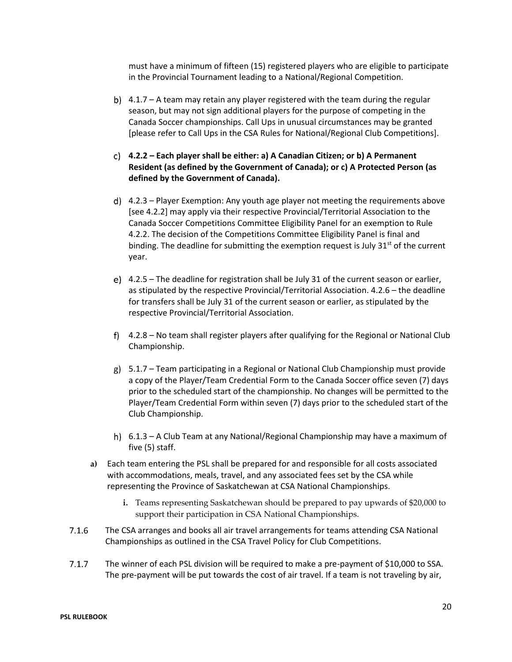must have a minimum of fifteen (15) registered players who are eligible to participate in the Provincial Tournament leading to a National/Regional Competition.

- 4.1.7 A team may retain any player registered with the team during the regular season, but may not sign additional players for the purpose of competing in the Canada Soccer championships. Call Ups in unusual circumstances may be granted [please refer to Call Ups in the CSA Rules for National/Regional Club Competitions].
- **4.2.2 – Each player shall be either: a) A Canadian Citizen; or b) A Permanent Resident (as defined by the Government of Canada); or c) A Protected Person (as defined by the Government of Canada).**
- 4.2.3 Player Exemption: Any youth age player not meeting the requirements above [see 4.2.2] may apply via their respective Provincial/Territorial Association to the Canada Soccer Competitions Committee Eligibility Panel for an exemption to Rule 4.2.2. The decision of the Competitions Committee Eligibility Panel is final and binding. The deadline for submitting the exemption request is July  $31<sup>st</sup>$  of the current year.
- 4.2.5 The deadline for registration shall be July 31 of the current season or earlier, as stipulated by the respective Provincial/Territorial Association. 4.2.6 – the deadline for transfers shall be July 31 of the current season or earlier, as stipulated by the respective Provincial/Territorial Association.
- 4.2.8 No team shall register players after qualifying for the Regional or National Club Championship.
- $g$ ) 5.1.7 Team participating in a Regional or National Club Championship must provide a copy of the Player/Team Credential Form to the Canada Soccer office seven (7) days prior to the scheduled start of the championship. No changes will be permitted to the Player/Team Credential Form within seven (7) days prior to the scheduled start of the Club Championship.
- 6.1.3 A Club Team at any National/Regional Championship may have a maximum of five (5) staff.
- **a)** Each team entering the PSL shall be prepared for and responsible for all costs associated with accommodations, meals, travel, and any associated fees set by the CSA while representing the Province of Saskatchewan at CSA National Championships.
	- **i.** Teams representing Saskatchewan should be prepared to pay upwards of \$20,000 to support their participation in CSA National Championships.
- $7.1.6$ The CSA arranges and books all air travel arrangements for teams attending CSA National Championships as outlined in the CSA Travel Policy for Club Competitions.
- $7.1.7$ The winner of each PSL division will be required to make a pre-payment of \$10,000 to SSA. The pre-payment will be put towards the cost of air travel. If a team is not traveling by air,